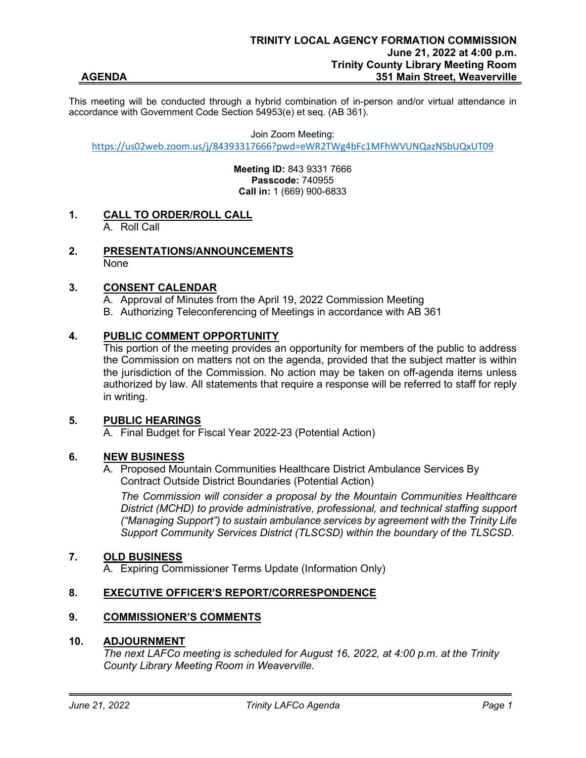This meeting will be conducted through a hybrid combination of in-person and/or virtual attendance in accordance with Government Code Section 54953(e) et seq. (AB 361).

Join Zoom Meeting:

[https://us02web.zoom.us/j/84393317666?pwd=eWR2TWg4bFc1MFhWVUNQazNSbUQxUT09](https://www.google.com/url?q=https://us02web.zoom.us/j/84393317666?pwd%3DeWR2TWg4bFc1MFhWVUNQazNSbUQxUT09&sa=D&source=calendar&ust=1655929994847819&usg=AOvVaw1RPVw2auGt2DD93aJ9sOmG)

**Meeting ID:** 843 9331 7666 **Passcode:** 740955 **Call in:** 1 (669) 900-6833

- **1. CALL TO ORDER/ROLL CALL**  A. Roll Call
- **2. PRESENTATIONS/ANNOUNCEMENTS**  None

### **3. CONSENT CALENDAR**

A. Approval of Minutes from the April 19, 2022 Commission Meeting B. Authorizing Teleconferencing of Meetings in accordance with AB 361

# **4. PUBLIC COMMENT OPPORTUNITY**

This portion of the meeting provides an opportunity for members of the public to address the Commission on matters not on the agenda, provided that the subject matter is within the jurisdiction of the Commission. No action may be taken on off-agenda items unless authorized by law. All statements that require a response will be referred to staff for reply in writing.

### **5. PUBLIC HEARINGS**

A. Final Budget for Fiscal Year 2022-23 (Potential Action)

# **6. NEW BUSINESS**

A. Proposed Mountain Communities Healthcare District Ambulance Services By Contract Outside District Boundaries (Potential Action)

*The Commission will consider a proposal by the Mountain Communities Healthcare District (MCHD) to provide administrative, professional, and technical staffing support ("Managing Support") to sustain ambulance services by agreement with the Trinity Life Support Community Services District (TLSCSD) within the boundary of the TLSCSD.*

### **7. OLD BUSINESS**

A. Expiring Commissioner Terms Update (Information Only)

### **8. EXECUTIVE OFFICER'S REPORT/CORRESPONDENCE**

### **9. COMMISSIONER'S COMMENTS**

## **10. ADJOURNMENT**

*The next LAFCo meeting is scheduled for August 16, 2022, at 4:00 p.m. at the Trinity County Library Meeting Room in Weaverville.*